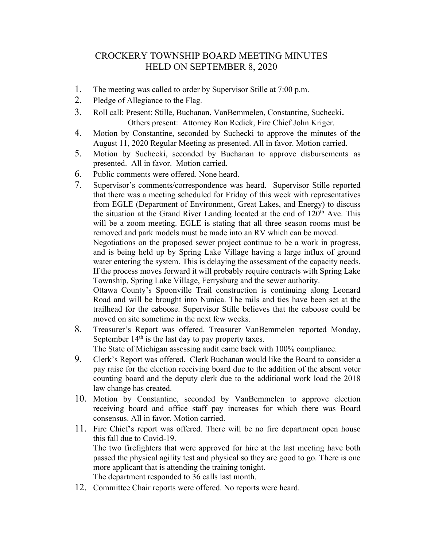## CROCKERY TOWNSHIP BOARD MEETING MINUTES HELD ON SEPTEMBER 8, 2020

- 1. The meeting was called to order by Supervisor Stille at 7:00 p.m.
- 2. Pledge of Allegiance to the Flag.
- 3. Roll call: Present: Stille, Buchanan, VanBemmelen, Constantine, Suchecki. Others present: Attorney Ron Redick, Fire Chief John Kriger.
- 4. Motion by Constantine, seconded by Suchecki to approve the minutes of the August 11, 2020 Regular Meeting as presented. All in favor. Motion carried.
- 5. Motion by Suchecki, seconded by Buchanan to approve disbursements as presented. All in favor. Motion carried.
- 6. Public comments were offered. None heard.
- 7. Supervisor's comments/correspondence was heard. Supervisor Stille reported that there was a meeting scheduled for Friday of this week with representatives from EGLE (Department of Environment, Great Lakes, and Energy) to discuss the situation at the Grand River Landing located at the end of  $120<sup>th</sup>$  Ave. This will be a zoom meeting. EGLE is stating that all three season rooms must be removed and park models must be made into an RV which can be moved.

Negotiations on the proposed sewer project continue to be a work in progress, and is being held up by Spring Lake Village having a large influx of ground water entering the system. This is delaying the assessment of the capacity needs. If the process moves forward it will probably require contracts with Spring Lake Township, Spring Lake Village, Ferrysburg and the sewer authority.

Ottawa County's Spoonville Trail construction is continuing along Leonard Road and will be brought into Nunica. The rails and ties have been set at the trailhead for the caboose. Supervisor Stille believes that the caboose could be moved on site sometime in the next few weeks.

8. Treasurer's Report was offered. Treasurer VanBemmelen reported Monday, September  $14<sup>th</sup>$  is the last day to pay property taxes.

The State of Michigan assessing audit came back with 100% compliance.

- 9. Clerk's Report was offered. Clerk Buchanan would like the Board to consider a pay raise for the election receiving board due to the addition of the absent voter counting board and the deputy clerk due to the additional work load the 2018 law change has created.
- 10. Motion by Constantine, seconded by VanBemmelen to approve election receiving board and office staff pay increases for which there was Board consensus. All in favor. Motion carried.
- 11. Fire Chief's report was offered. There will be no fire department open house this fall due to Covid-19. The two firefighters that were approved for hire at the last meeting have both passed the physical agility test and physical so they are good to go. There is one more applicant that is attending the training tonight.

The department responded to 36 calls last month.

12. Committee Chair reports were offered. No reports were heard.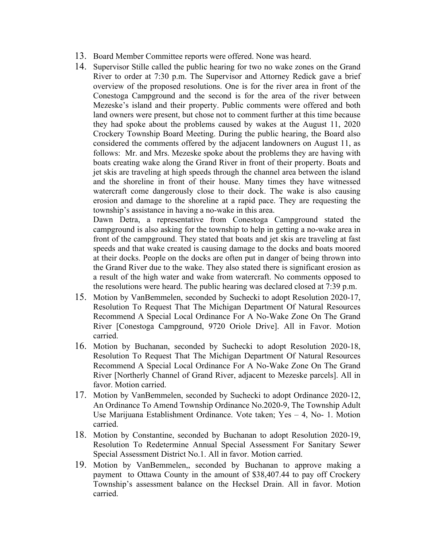- 13. Board Member Committee reports were offered. None was heard.
- 14. Supervisor Stille called the public hearing for two no wake zones on the Grand River to order at 7:30 p.m. The Supervisor and Attorney Redick gave a brief overview of the proposed resolutions. One is for the river area in front of the Conestoga Campground and the second is for the area of the river between Mezeske's island and their property. Public comments were offered and both land owners were present, but chose not to comment further at this time because they had spoke about the problems caused by wakes at the August 11, 2020 Crockery Township Board Meeting. During the public hearing, the Board also considered the comments offered by the adjacent landowners on August 11, as follows: Mr. and Mrs. Mezeske spoke about the problems they are having with boats creating wake along the Grand River in front of their property. Boats and jet skis are traveling at high speeds through the channel area between the island and the shoreline in front of their house. Many times they have witnessed watercraft come dangerously close to their dock. The wake is also causing erosion and damage to the shoreline at a rapid pace. They are requesting the township's assistance in having a no-wake in this area.

Dawn Detra, a representative from Conestoga Campground stated the campground is also asking for the township to help in getting a no-wake area in front of the campground. They stated that boats and jet skis are traveling at fast speeds and that wake created is causing damage to the docks and boats moored at their docks. People on the docks are often put in danger of being thrown into the Grand River due to the wake. They also stated there is significant erosion as a result of the high water and wake from watercraft. No comments opposed to the resolutions were heard. The public hearing was declared closed at 7:39 p.m.

- 15. Motion by VanBemmelen, seconded by Suchecki to adopt Resolution 2020-17, Resolution To Request That The Michigan Department Of Natural Resources Recommend A Special Local Ordinance For A No-Wake Zone On The Grand River [Conestoga Campground, 9720 Oriole Drive]. All in Favor. Motion carried.
- 16. Motion by Buchanan, seconded by Suchecki to adopt Resolution 2020-18, Resolution To Request That The Michigan Department Of Natural Resources Recommend A Special Local Ordinance For A No-Wake Zone On The Grand River [Northerly Channel of Grand River, adjacent to Mezeske parcels]. All in favor. Motion carried.
- 17. Motion by VanBemmelen, seconded by Suchecki to adopt Ordinance 2020-12, An Ordinance To Amend Township Ordinance No.2020-9, The Township Adult Use Marijuana Establishment Ordinance. Vote taken; Yes – 4, No- 1. Motion carried.
- 18. Motion by Constantine, seconded by Buchanan to adopt Resolution 2020-19, Resolution To Redetermine Annual Special Assessment For Sanitary Sewer Special Assessment District No.1. All in favor. Motion carried.
- 19. Motion by VanBemmelen,, seconded by Buchanan to approve making a payment to Ottawa County in the amount of \$38,407.44 to pay off Crockery Township's assessment balance on the Hecksel Drain. All in favor. Motion carried.